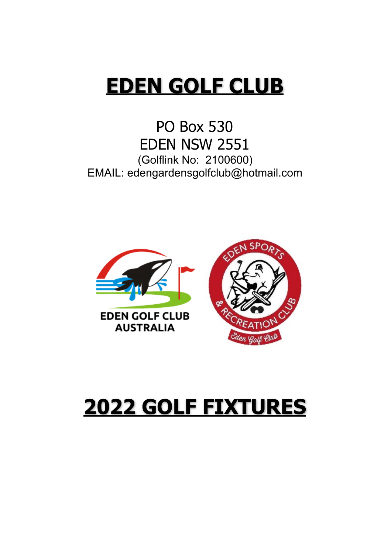## **EDEN GOLF CLUB**

PO Box 530 EDEN NSW 2551 (Golflink No: 2100600) EMAIL: edengardensgolfclub@hotmail.com



# **2022 GOLF FIXTURES**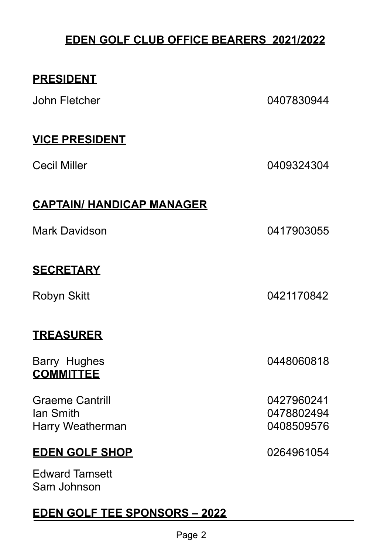#### **EDEN GOLF CLUB OFFICE BEARERS 2021/2022**

#### **PRESIDENT**

John Fletcher 0407830944

#### **VICE PRESIDENT**

Cecil Miller 2008 2409324304

#### **CAPTAIN/ HANDICAP MANAGER**

Mark Davidson 0417903055

#### **SECRETARY**

#### **TREASURER**

Barry Hughes 0448060818 **COMMITTEE** 

Graeme Cantrill **Cantrill** Cantrill **Graeme** Cantrill **Cantrill Cantrill Cantrill Cantrill Cantrill Cantrill Cantrill Cantrill Cantrill Cantrill Cantrill Cantrill Cantrill Cantrill Cantrill Ca** Ian Smith 0478802494 Harry Weatherman 2008509576

#### **EDEN GOLF SHOP** 0264961054

Edward Tamsett Sam Johnson

#### **EDEN GOLF TEE SPONSORS – 2022**

Robyn Skitt 0421170842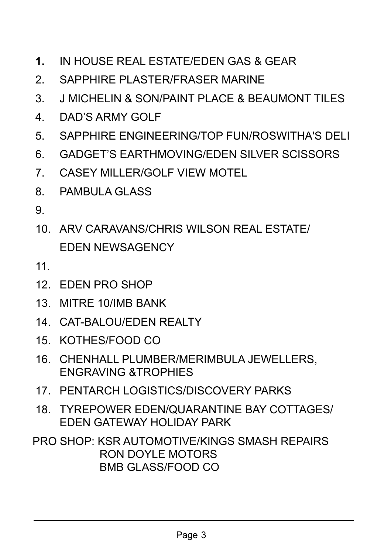- **1.** IN HOUSE REAL ESTATE/EDEN GAS & GEAR
- 2. SAPPHIRE PLASTER/FRASER MARINE
- 3. J MICHELIN & SON/PAINT PLACE & BEAUMONT TILES
- 4. DAD'S ARMY GOLF
- 5. SAPPHIRE ENGINEERING/TOP FUN/ROSWITHA'S DELI
- 6. GADGET'S EARTHMOVING/EDEN SILVER SCISSORS
- 7. CASEY MILLER/GOLF VIEW MOTEL
- 8 PAMBULA GLASS
- 9.
- 10. ARV CARAVANS/CHRIS WILSON REAL ESTATE/ EDEN NEWSAGENCY
- 11.
- 12. EDEN PRO SHOP
- 13. MITRE 10/IMB BANK
- 14. CAT-BALOU/EDEN REALTY
- 15. KOTHES/FOOD CO
- 16. CHENHALL PLUMBER/MERIMBULA JEWELLERS, ENGRAVING &TROPHIES
- 17. PENTARCH LOGISTICS/DISCOVERY PARKS
- 18. TYREPOWER EDEN/QUARANTINE BAY COTTAGES/ EDEN GATEWAY HOLIDAY PARK
- PRO SHOP: KSR AUTOMOTIVE/KINGS SMASH REPAIRS RON DOYLE MOTORS BMB GLASS/FOOD CO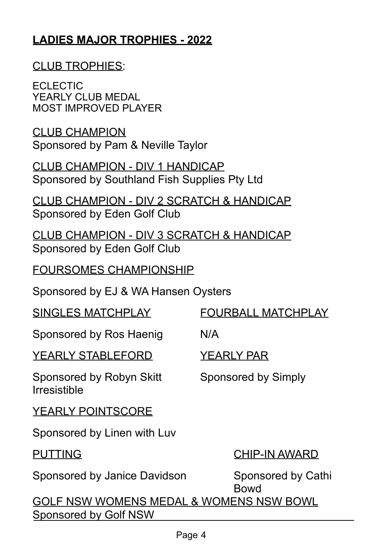#### **LADIES MAJOR TROPHIES - 2022**

#### CLUB TROPHIES:

ECLECTIC YEARLY CLUB MEDAL MOST IMPROVED PLAYER

CLUB CHAMPION Sponsored by Pam & Neville Taylor

CLUB CHAMPION - DIV 1 HANDICAP Sponsored by Southland Fish Supplies Pty Ltd

CLUB CHAMPION - DIV 2 SCRATCH & HANDICAP Sponsored by Eden Golf Club

CLUB CHAMPION - DIV 3 SCRATCH & HANDICAP Sponsored by Eden Golf Club

FOURSOMES CHAMPIONSHIP

Sponsored by EJ & WA Hansen Oysters

SINGLES MATCHPLAY FOURBALL MATCHPLAY Sponsored by Ros Haenig N/A YEARLY STABLEFORD YEARLY PAR Sponsored by Robyn Skitt Sponsored by Simply Irresistible YEARLY POINTSCORE Sponsored by Linen with Luv PUTTING CHIP-IN AWARD Sponsored by Janice Davidson Sponsored by Cathi Bowd GOLF NSW WOMENS MEDAL & WOMENS NSW BOWL Sponsored by Golf NSW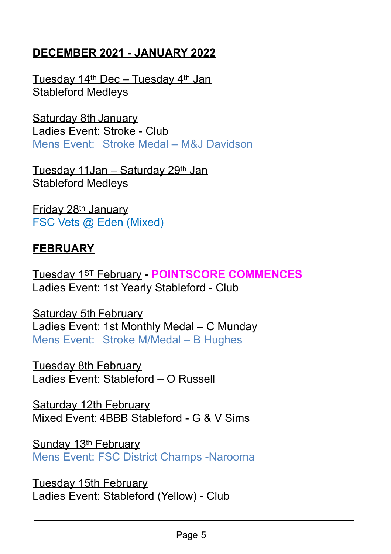#### **DECEMBER 2021 - JANUARY 2022**

Tuesday 14<sup>th</sup> Dec - Tuesday 4<sup>th</sup> Jan Stableford Medleys

Saturday 8th January Ladies Event: Stroke - Club Mens Event: Stroke Medal – M&J Davidson

Tuesday 11Jan – Saturday 29<sup>th</sup> Jan Stableford Medleys

Friday 28th January FSC Vets @ Eden (Mixed)

#### **FEBRUARY**

Tuesday 1ST February **- POINTSCORE COMMENCES** Ladies Event: 1st Yearly Stableford - Club

Saturday 5th February Ladies Event: 1st Monthly Medal – C Munday Mens Event: Stroke M/Medal – B Hughes

Tuesday 8th February Ladies Event: Stableford – O Russell

Saturday 12th February Mixed Event: 4BBB Stableford - G & V Sims

Sunday 13<sup>th</sup> February Mens Event: FSC District Champs -Narooma

Tuesday 15th February Ladies Event: Stableford (Yellow) - Club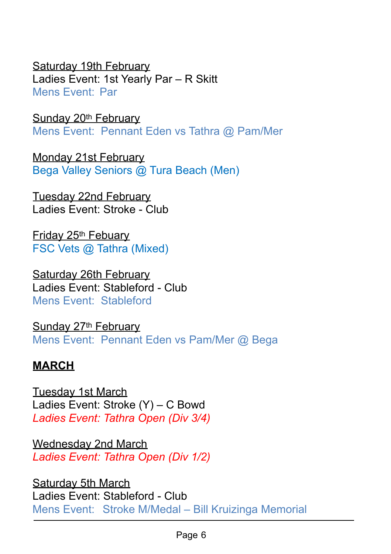Saturday 19th February Ladies Event: 1st Yearly Par – R Skitt Mens Event: Par

Sunday 20<sup>th</sup> February Mens Event: Pennant Eden vs Tathra @ Pam/Mer

Monday 21st February Bega Valley Seniors @ Tura Beach (Men)

Tuesday 22nd February Ladies Event: Stroke - Club

Friday 25th Febuary FSC Vets @ Tathra (Mixed)

Saturday 26th February Ladies Event: Stableford - Club Mens Event: Stableford

Sunday 27<sup>th</sup> February Mens Event: Pennant Eden vs Pam/Mer @ Bega

### **MARCH**

Tuesday 1st March Ladies Event: Stroke (Y) – C Bowd *Ladies Event: Tathra Open (Div 3/4)* 

Wednesday 2nd March *Ladies Event: Tathra Open (Div 1/2)* 

Saturday 5th March Ladies Event: Stableford - Club Mens Event: Stroke M/Medal – Bill Kruizinga Memorial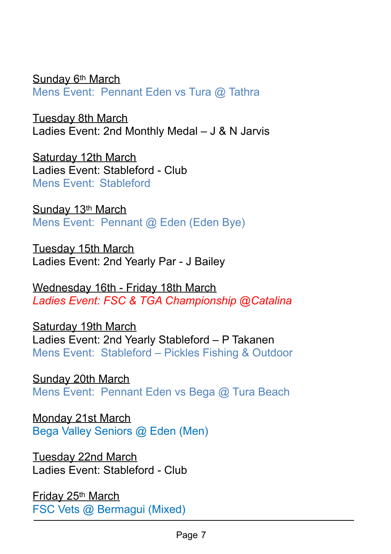Sunday 6<sup>th</sup> March Mens Event: Pennant Eden vs Tura @ Tathra

Tuesday 8th March Ladies Event: 2nd Monthly Medal – J & N Jarvis

Saturday 12th March Ladies Event: Stableford - Club Mens Event: Stableford

Sunday 13<sup>th</sup> March Mens Event: Pennant @ Eden (Eden Bye)

Tuesday 15th March Ladies Event: 2nd Yearly Par - J Bailey

Wednesday 16th - Friday 18th March *Ladies Event: FSC & TGA Championship @Catalina*

Saturday 19th March Ladies Event: 2nd Yearly Stableford – P Takanen Mens Event: Stableford – Pickles Fishing & Outdoor

Sunday 20th March Mens Event: Pennant Eden vs Bega @ Tura Beach

Monday 21st March Bega Valley Seniors @ Eden (Men)

Tuesday 22nd March Ladies Event: Stableford - Club

Friday 25th March FSC Vets @ Bermagui (Mixed)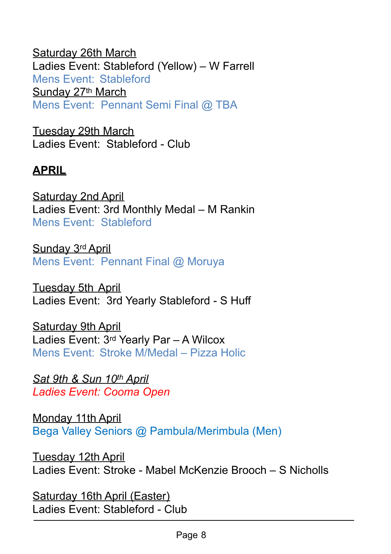Saturday 26th March Ladies Event: Stableford (Yellow) – W Farrell Mens Event: Stableford Sunday 27th March Mens Event: Pennant Semi Final @ TBA

Tuesday 29th March Ladies Event: Stableford - Club

#### **APRIL**

Saturday 2nd April Ladies Event: 3rd Monthly Medal – M Rankin Mens Event: Stableford

Sunday 3rd April Mens Event: Pennant Final @ Moruya

Tuesday 5th April Ladies Event: 3rd Yearly Stableford - S Huff

Saturday 9th April Ladies Event: 3rd Yearly Par – A Wilcox Mens Event: Stroke M/Medal – Pizza Holic

*Sat 9th & Sun 10th April Ladies Event: Cooma Open* 

Monday 11th April Bega Valley Seniors @ Pambula/Merimbula (Men)

Tuesday 12th April Ladies Event: Stroke - Mabel McKenzie Brooch – S Nicholls

Saturday 16th April (Easter) Ladies Event: Stableford - Club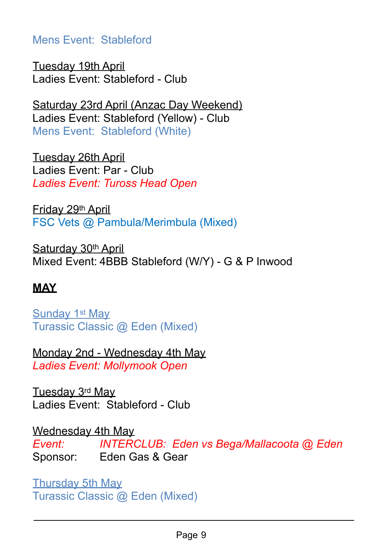Mens Event: Stableford

Tuesday 19th April Ladies Event: Stableford - Club

Saturday 23rd April (Anzac Day Weekend) Ladies Event: Stableford (Yellow) - Club Mens Event: Stableford (White)

Tuesday 26th April Ladies Event: Par - Club *Ladies Event: Tuross Head Open*

Friday 29th April FSC Vets @ Pambula/Merimbula (Mixed)

Saturday 30<sup>th</sup> April Mixed Event: 4BBB Stableford (W/Y) - G & P Inwood

### **MAY**

Sunday 1st May Turassic Classic @ Eden (Mixed)

Monday 2nd - Wednesday 4th May *Ladies Event: Mollymook Open* 

Tuesday 3rd May Ladies Event: Stableford - Club

Wednesday 4th May *Event: INTERCLUB: Eden vs Bega/Mallacoota @ Eden*  Sponsor: Eden Gas & Gear

Thursday 5th May Turassic Classic @ Eden (Mixed)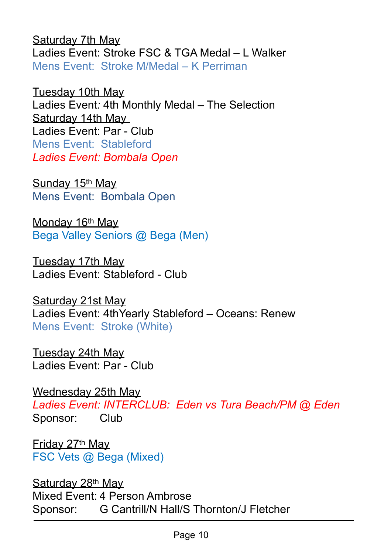Saturday 7th May Ladies Event: Stroke FSC & TGA Medal – L Walker Mens Event: Stroke M/Medal – K Perriman

Tuesday 10th May Ladies Event*:* 4th Monthly Medal – The Selection Saturday 14th May Ladies Event: Par - Club Mens Event: Stableford *Ladies Event: Bombala Open* 

Sunday 15th May Mens Event: Bombala Open

Monday 16th May Bega Valley Seniors @ Bega (Men)

Tuesday 17th May Ladies Event: Stableford - Club

Saturday 21st May Ladies Event: 4thYearly Stableford – Oceans: Renew Mens Event: Stroke (White)

Tuesday 24th May Ladies Event: Par - Club

Wednesday 25th May *Ladies Event: INTERCLUB: Eden vs Tura Beach/PM @ Eden*  Sponsor: Club

Friday 27th May FSC Vets @ Bega (Mixed)

Saturday 28<sup>th</sup> May Mixed Event: 4 Person Ambrose Sponsor: G Cantrill/N Hall/S Thornton/J Fletcher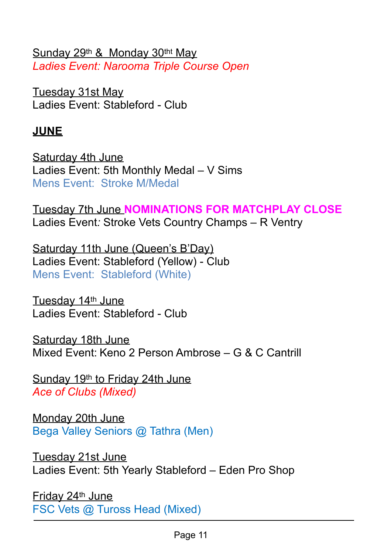Sunday 29<sup>th</sup> & Monday 30<sup>tht</sup> May *Ladies Event: Narooma Triple Course Open*

Tuesday 31st May Ladies Event: Stableford - Club

#### **JUNE**

Saturday 4th June Ladies Event: 5th Monthly Medal – V Sims Mens Event: Stroke M/Medal

Tuesday 7th June **NOMINATIONS FOR MATCHPLAY CLOSE**  Ladies Event*:* Stroke Vets Country Champs – R Ventry

Saturday 11th June (Queen's B'Day) Ladies Event: Stableford (Yellow) - Club Mens Event: Stableford (White)

Tuesday 14<sup>th</sup> June Ladies Event: Stableford - Club

Saturday 18th June Mixed Event: Keno 2 Person Ambrose – G & C Cantrill

Sunday 19th to Friday 24th June *Ace of Clubs (Mixed)* 

Monday 20th June Bega Valley Seniors @ Tathra (Men)

Tuesday 21st June Ladies Event: 5th Yearly Stableford – Eden Pro Shop

Friday 24th June FSC Vets @ Tuross Head (Mixed)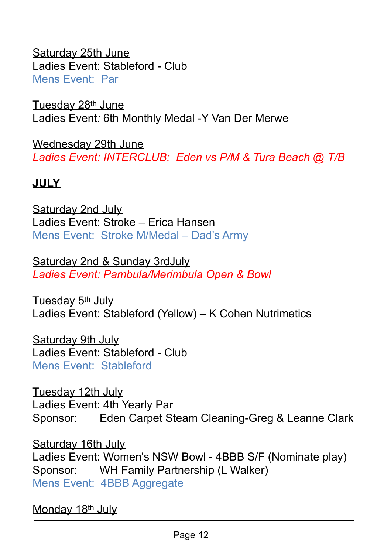Saturday 25th June Ladies Event: Stableford - Club Mens Event: Par

Tuesday 28th June Ladies Event*:* 6th Monthly Medal -Y Van Der Merwe

Wednesday 29th June *Ladies Event: INTERCLUB: Eden vs P/M & Tura Beach @ T/B* 

#### **JULY**

Saturday 2nd July Ladies Event: Stroke – Erica Hansen Mens Event: Stroke M/Medal – Dad's Army

Saturday 2nd & Sunday 3rdJuly *Ladies Event: Pambula/Merimbula Open & Bowl* 

Tuesday 5<sup>th</sup> July Ladies Event: Stableford (Yellow) – K Cohen Nutrimetics

Saturday 9th July Ladies Event: Stableford - Club Mens Event: Stableford

Tuesday 12th July Ladies Event: 4th Yearly Par Sponsor: Eden Carpet Steam Cleaning-Greg & Leanne Clark

Saturday 16th July Ladies Event: Women's NSW Bowl - 4BBB S/F (Nominate play) Sponsor: WH Family Partnership (L Walker) Mens Event: 4BBB Aggregate

Monday 18<sup>th</sup> July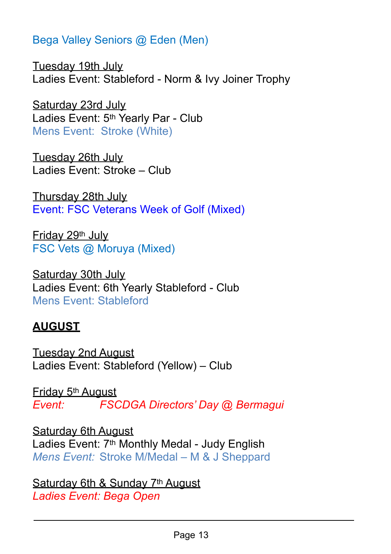Bega Valley Seniors @ Eden (Men)

Tuesday 19th July Ladies Event: Stableford - Norm & Ivy Joiner Trophy

Saturday 23rd July Ladies Event: 5th Yearly Par - Club Mens Event: Stroke (White)

Tuesday 26th July Ladies Event: Stroke – Club

Thursday 28th July Event: FSC Veterans Week of Golf (Mixed)

Friday 29th July FSC Vets @ Moruya (Mixed)

Saturday 30th July Ladies Event: 6th Yearly Stableford - Club Mens Event: Stableford

#### **AUGUST**

Tuesday 2nd August Ladies Event: Stableford (Yellow) – Club

Friday 5th August *Event: FSCDGA Directors' Day @ Bermagui*

Saturday 6th August Ladies Event: 7th Monthly Medal - Judy English *Mens Event:* Stroke M/Medal – M & J Sheppard

Saturday 6th & Sunday 7th August *Ladies Event: Bega Open*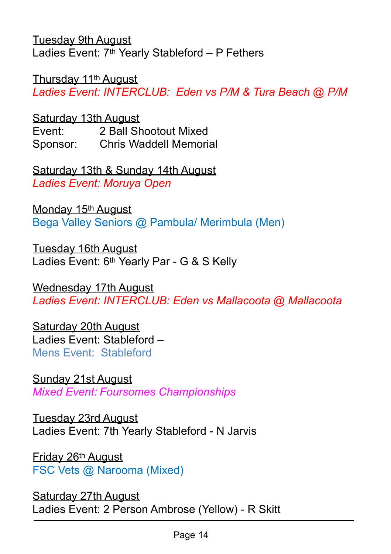Tuesday 9th August Ladies Event:  $7<sup>th</sup>$  Yearly Stableford – P Fethers

Thursday 11th August

*Ladies Event: INTERCLUB: Eden vs P/M & Tura Beach @ P/M* 

Saturday 13th August Event: 2 Ball Shootout Mixed Sponsor: Chris Waddell Memorial

Saturday 13th & Sunday 14th August *Ladies Event: Moruya Open*

Monday 15<sup>th</sup> August Bega Valley Seniors @ Pambula/ Merimbula (Men)

Tuesday 16th August Ladies Event: 6th Yearly Par - G & S Kelly

Wednesday 17th August *Ladies Event: INTERCLUB: Eden vs Mallacoota @ Mallacoota* 

Saturday 20th August Ladies Event: Stableford – Mens Event: Stableford

Sunday 21st August *Mixed Event: Foursomes Championships* 

Tuesday 23rd August Ladies Event: 7th Yearly Stableford - N Jarvis

Friday 26th August FSC Vets @ Narooma (Mixed)

Saturday 27th August Ladies Event: 2 Person Ambrose (Yellow) - R Skitt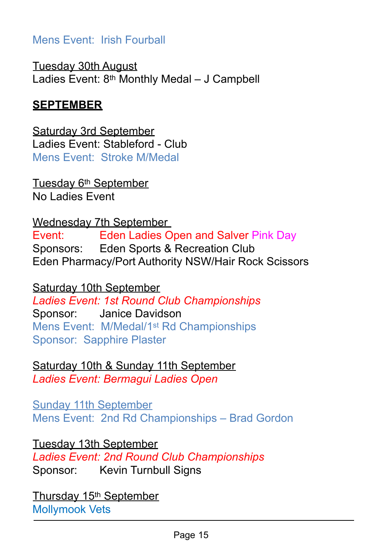#### Mens Event: Irish Fourball

Tuesday 30th August Ladies Event: 8th Monthly Medal – J Campbell

#### **SEPTEMBER**

Saturday 3rd September Ladies Event: Stableford - Club Mens Event: Stroke M/Medal

Tuesday 6th September No Ladies Event

Wednesday 7th September Event: Eden Ladies Open and Salver Pink Day Sponsors: Eden Sports & Recreation Club Eden Pharmacy/Port Authority NSW/Hair Rock Scissors

Saturday 10th September *Ladies Event: 1st Round Club Championships*  Sponsor: Janice Davidson Mens Event: M/Medal/1st Rd Championships Sponsor: Sapphire Plaster

Saturday 10th & Sunday 11th September *Ladies Event: Bermagui Ladies Open*

Sunday 11th September Mens Event: 2nd Rd Championships – Brad Gordon

Tuesday 13th September *Ladies Event: 2nd Round Club Championships*  Sponsor: Kevin Turnbull Signs

Thursday 15<sup>th</sup> September Mollymook Vets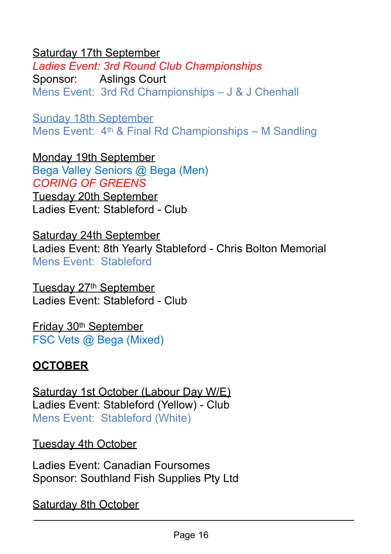#### Saturday 17th September

*Ladies Event: 3rd Round Club Championships* Sponsor: Aslings Court Mens Event: 3rd Rd Championships – J & J Chenhall

Sunday 18th September Mens Event: 4th & Final Rd Championships – M Sandling

Monday 19th September Bega Valley Seniors @ Bega (Men) *CORING OF GREENS*  Tuesday 20th September Ladies Event: Stableford - Club

Saturday 24th September Ladies Event: 8th Yearly Stableford - Chris Bolton Memorial Mens Event: Stableford

Tuesday 27<sup>th</sup> September Ladies Event: Stableford - Club

Friday 30th September FSC Vets @ Bega (Mixed)

#### **OCTOBER**

Saturday 1st October (Labour Day W/E) Ladies Event: Stableford (Yellow) - Club Mens Event: Stableford (White)

Tuesday 4th October

Ladies Event: Canadian Foursomes Sponsor: Southland Fish Supplies Pty Ltd

Saturday 8th October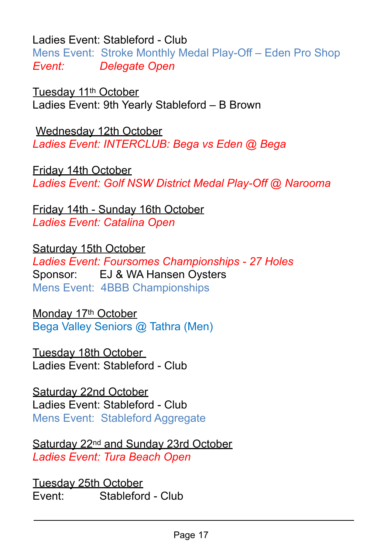Ladies Event: Stableford - Club

Mens Event: Stroke Monthly Medal Play-Off – Eden Pro Shop *Event: Delegate Open*

Tuesday 11th October Ladies Event: 9th Yearly Stableford – B Brown

Wednesday 12th October *Ladies Event: INTERCLUB: Bega vs Eden @ Bega* 

Friday 14th October *Ladies Event: Golf NSW District Medal Play-Off @ Narooma* 

Friday 14th - Sunday 16th October *Ladies Event: Catalina Open*

Saturday 15th October *Ladies Event: Foursomes Championships - 27 Holes*  Sponsor: EJ & WA Hansen Oysters Mens Event: 4BBB Championships

Monday 17<sup>th</sup> October Bega Valley Seniors @ Tathra (Men)

Tuesday 18th October Ladies Event: Stableford - Club

Saturday 22nd October Ladies Event: Stableford - Club Mens Event: Stableford Aggregate

Saturday 22<sup>nd</sup> and Sunday 23rd October *Ladies Event: Tura Beach Open*

Tuesday 25th October Event: Stableford - Club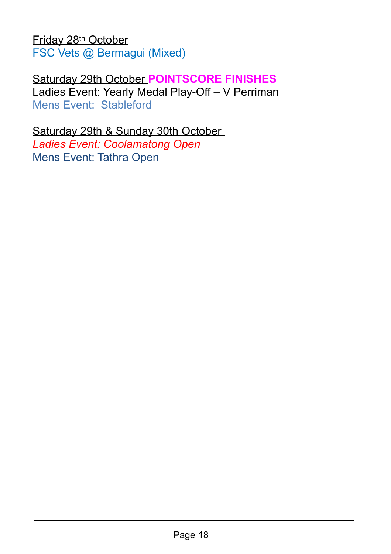Friday 28th October FSC Vets @ Bermagui (Mixed)

#### Saturday 29th October **POINTSCORE FINISHES** Ladies Event: Yearly Medal Play-Off – V Perriman

Mens Event: Stableford

#### Saturday 29th & Sunday 30th October

*Ladies Event: Coolamatong Open*  Mens Event: Tathra Open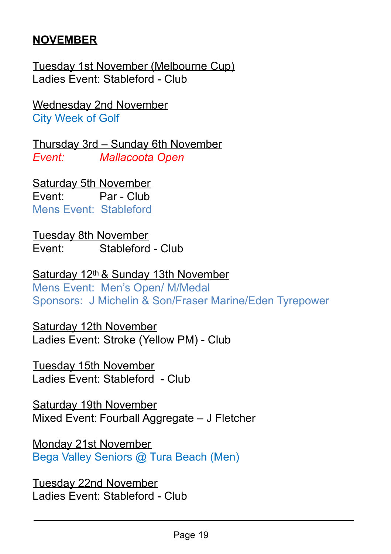#### **NOVEMBER**

Tuesday 1st November (Melbourne Cup) Ladies Event: Stableford - Club

Wednesday 2nd November City Week of Golf

Thursday 3rd – Sunday 6th November *Event: Mallacoota Open* 

Saturday 5th November Event: Par - Club Mens Event: Stableford

Tuesday 8th November Event: Stableford - Club

Saturday 12th & Sunday 13th November Mens Event: Men's Open/ M/Medal Sponsors: J Michelin & Son/Fraser Marine/Eden Tyrepower

Saturday 12th November Ladies Event: Stroke (Yellow PM) - Club

Tuesday 15th November Ladies Event: Stableford - Club

Saturday 19th November Mixed Event: Fourball Aggregate – J Fletcher

Monday 21st November Bega Valley Seniors @ Tura Beach (Men)

Tuesday 22nd November Ladies Event: Stableford - Club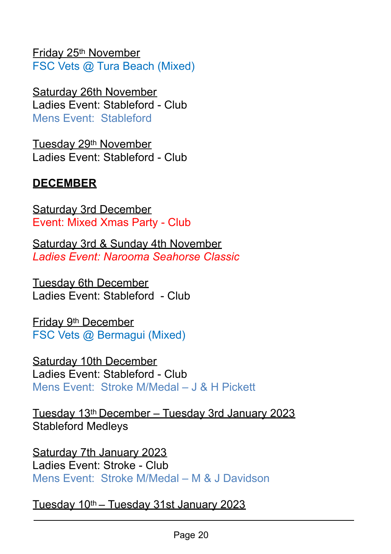Friday 25th November FSC Vets @ Tura Beach (Mixed)

Saturday 26th November Ladies Event: Stableford - Club Mens Event: Stableford

Tuesday 29th November Ladies Event: Stableford - Club

#### **DECEMBER**

Saturday 3rd December Event: Mixed Xmas Party - Club

Saturday 3rd & Sunday 4th November *Ladies Event: Narooma Seahorse Classic* 

Tuesday 6th December Ladies Event: Stableford - Club

Friday 9th December FSC Vets @ Bermagui (Mixed)

Saturday 10th December Ladies Event: Stableford - Club Mens Event: Stroke M/Medal – J & H Pickett

Tuesday 13th December – Tuesday 3rd January 2023 Stableford Medleys

Saturday 7th January 2023 Ladies Event: Stroke - Club Mens Event: Stroke M/Medal – M & J Davidson

Tuesday 10th – Tuesday 31st January 2023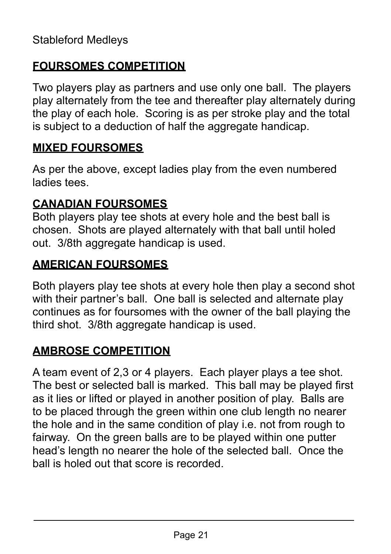#### **FOURSOMES COMPETITION**

Two players play as partners and use only one ball. The players play alternately from the tee and thereafter play alternately during the play of each hole. Scoring is as per stroke play and the total is subject to a deduction of half the aggregate handicap.

#### **MIXED FOURSOMES**

As per the above, except ladies play from the even numbered ladies tees.

#### **CANADIAN FOURSOMES**

Both players play tee shots at every hole and the best ball is chosen. Shots are played alternately with that ball until holed out. 3/8th aggregate handicap is used.

#### **AMERICAN FOURSOMES**

Both players play tee shots at every hole then play a second shot with their partner's ball. One ball is selected and alternate play continues as for foursomes with the owner of the ball playing the third shot. 3/8th aggregate handicap is used.

#### **AMBROSE COMPETITION**

A team event of 2,3 or 4 players. Each player plays a tee shot. The best or selected ball is marked. This ball may be played first as it lies or lifted or played in another position of play. Balls are to be placed through the green within one club length no nearer the hole and in the same condition of play i.e. not from rough to fairway. On the green balls are to be played within one putter head's length no nearer the hole of the selected ball. Once the ball is holed out that score is recorded.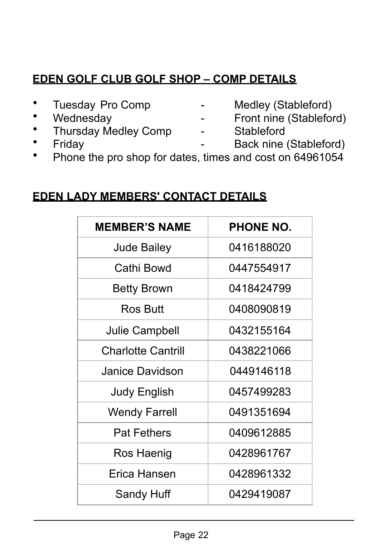#### **EDEN GOLF CLUB GOLF SHOP – COMP DETAILS**

- 
- 
- Thursday Medley Comp Stableford
- 
- Tuesday Pro Comp Medley (Stableford)
- Wednesday **-** Front nine (Stableford)
	-
- Friday **Friday** Back nine (Stableford)
- Phone the pro shop for dates, times and cost on 64961054

#### **EDEN LADY MEMBERS' CONTACT DETAILS**

| <b>MEMBER'S NAME</b>      | <b>PHONE NO.</b> |
|---------------------------|------------------|
| <b>Jude Bailey</b>        | 0416188020       |
| Cathi Bowd                | 0447554917       |
| <b>Betty Brown</b>        | 0418424799       |
| Ros Butt                  | 0408090819       |
| Julie Campbell            | 0432155164       |
| <b>Charlotte Cantrill</b> | 0438221066       |
| Janice Davidson           | 0449146118       |
| <b>Judy English</b>       | 0457499283       |
| <b>Wendy Farrell</b>      | 0491351694       |
| <b>Pat Fethers</b>        | 0409612885       |
| Ros Haenig                | 0428961767       |
| Erica Hansen              | 0428961332       |
| Sandy Huff                | 0429419087       |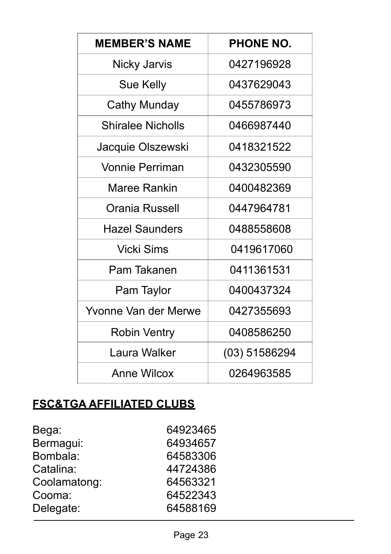| <b>MEMBER'S NAME</b>     | <b>PHONE NO.</b> |
|--------------------------|------------------|
| Nicky Jarvis             | 0427196928       |
| Sue Kelly                | 0437629043       |
| Cathy Munday             | 0455786973       |
| <b>Shiralee Nicholls</b> | 0466987440       |
| Jacquie Olszewski        | 0418321522       |
| <b>Vonnie Perriman</b>   | 0432305590       |
| Maree Rankin             | 0400482369       |
| Orania Russell           | 0447964781       |
| <b>Hazel Saunders</b>    | 0488558608       |
| Vicki Sims               | 0419617060       |
| Pam Takanen              | 0411361531       |
| Pam Taylor               | 0400437324       |
| Yvonne Van der Merwe     | 0427355693       |
| <b>Robin Ventry</b>      | 0408586250       |
| Laura Walker             | (03) 51586294    |
| Anne Wilcox              | 0264963585       |

## **FSC&TGA AFFILIATED CLUBS**

| 64923465 |
|----------|
| 64934657 |
| 64583306 |
| 44724386 |
| 64563321 |
| 64522343 |
| 64588169 |
|          |